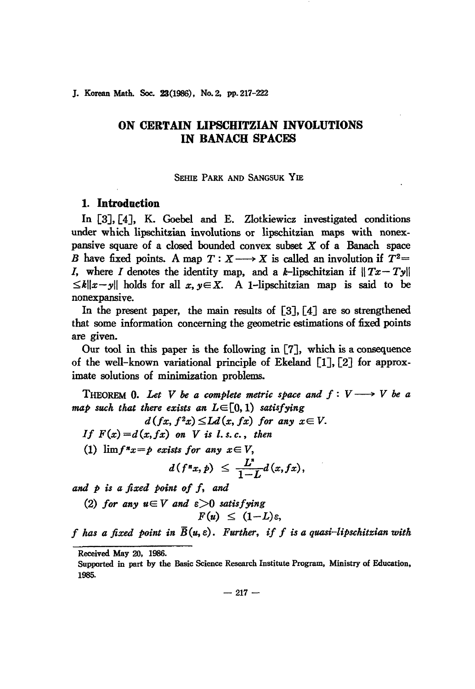#### J. Korean Math. Soc. 23(1986), No. 2, pp. 217-222

# **ON CERTAIN LIPSCHITZIAN INVOLUTIONS IN BANACH SPACES**

SEHIE PARK AND SANGSUK YIE

## **1. Introduction**

In [3J, [4J, K. Goebel and E. Zlotkiewicz investigated conditions under which lipschitzian involutions or lipschitzian maps with nonexpansive square of a closed bounded convex subset  $X$  of a Banach space *B* have fixed points. A map  $T: X \longrightarrow X$  is called an involution if  $T^2=$ I, where I denotes the identity map, and a k-lipschitzian if  $||Tx-Ty||$  $\leq k||x-y||$  holds for all  $x, y \in X$ . A 1-lipschitzian map is said to be nonexpansive.

In the present paper, the main results of  $\lceil 3 \rceil$ ,  $\lceil 4 \rceil$  are so strengthened that some information concerning the geometric estimations of fixed points are given.

Our tool in this paper is the following in [7J, which is a consequence of the well-known variational principle of Ekeland [lJ, [2J for approximate solutions of minimization problems.

THEOREM 0. Let V be a complete metric space and  $f: V \longrightarrow V$  be a *map such that there exists an LE[O,l) satisfying*

$$
d(fx, f2x) \leq Ld(x, fx) \text{ for any } x \in V.
$$

*If*  $F(x) = d(x, fx)$  *on V is l.s.c., then* 

(1)  $\lim f^{*}x = p$  *exists for any*  $x \in V$ ,

$$
d(f^*x, p) \leq \frac{L^*}{1-L}d(x, fx),
$$

*and p is a fi:eed point of f, and*

*(2) for any* uE *V and e>O satisfying*  $F(u) \leq (1-L)\varepsilon$ ,

*f* has a fixed boint in  $\overline{B}(u,\varepsilon)$ . Further, if f is a quasi-lipschitzian with

 $- 217 -$ 

Received May 20, 1986.

Supported in part by the Basic Science Research Institute Program, Ministry of Education, 1985.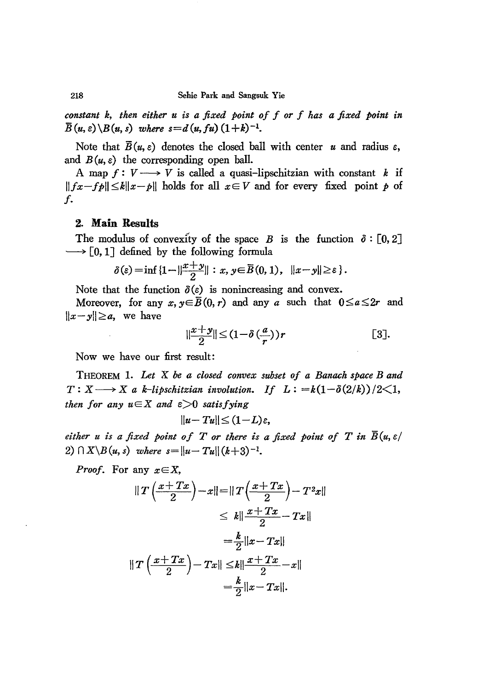*constant k, then either u is a fixed point of f or f has a fixed point in*  $\overline{B}(u,\varepsilon)\backslash B(u,s)$  *where*  $s=d(u,fu)(1+k)^{-1}$ .

Note that  $\overline{B}(u, \varepsilon)$  denotes the closed ball with center *u* and radius  $\varepsilon$ , and  $B(u, \varepsilon)$  the corresponding open ball.

A map  $f: V \longrightarrow V$  is called a quasi-lipschitzian with constant *k* if  $||fx-fp|| \le k||x-p||$  holds for all  $x \in V$  and for every fixed point *p* of f.

### 2. **Main Results**

The modulus of convexity of the space *B* is the function  $\delta : [0,2]$  $\longrightarrow$  [0, 1] defined by the following formula

$$
\delta(\varepsilon) = \inf \{1 - ||\frac{x+y}{2}|| : x, y \in \overline{B}(0,1), ||x-y|| \geq \varepsilon \}.
$$

Note that the function  $\delta(\varepsilon)$  is nonincreasing and convex.

Moreover, for any  $x, y \in \overline{B}(0, r)$  and any *a* such that  $0 \le a \le 2r$  and  $||x-y||\geq a$ , we have

$$
\left|\frac{x+y}{2}\right| \leq (1-\delta\left(\frac{a}{r}\right))r
$$
 [3].

Now we have our first result:

THEOREM 1. *Let* X *be a closed convex subset of a Banach space Band*  $T: X \longrightarrow X$  *a k*-lipschitzian involution. If  $L: =k(1-\delta(2/k))/2\leq 1$ , *then for any*  $u \in X$  *and*  $\varepsilon > 0$  *satisfying* 

$$
||u-Tu||\leq (1-L)\varepsilon,
$$

*either u is a fixed point of T or there is a fixed point of T in*  $\overline{B}(u, \varepsilon)$ 2)  $\bigcap X \setminus B(u, s)$  *where*  $s = ||u - Tu|| (k+3)^{-1}$ .

*Proof.* For any  $x \in X$ ,

$$
\|T\left(\frac{x+Tx}{2}\right)-x\| = \|T\left(\frac{x+Tx}{2}\right)-T^2x\|
$$
  
\n
$$
\leq k\|\frac{x+Tx}{2}-Tx\|
$$
  
\n
$$
= \frac{k}{2}\|x-Tx\|
$$
  
\n
$$
\|T\left(\frac{x+Tx}{2}\right)-Tx\| \leq k\|\frac{x+Tx}{2}-x\|
$$
  
\n
$$
= \frac{k}{2}\|x-Tx\|.
$$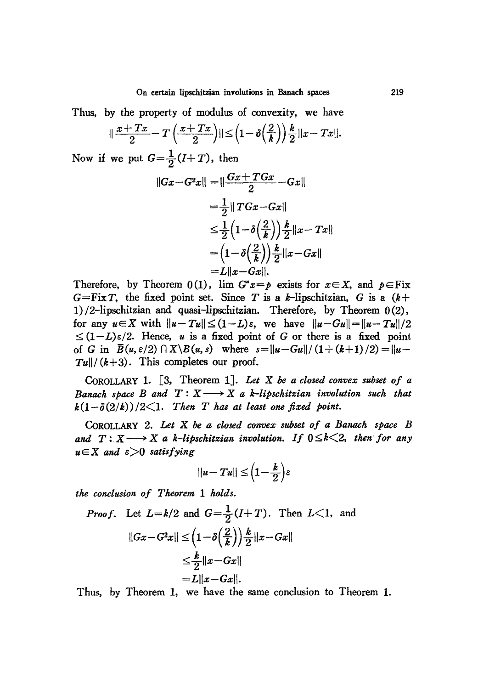Thus, by the property of modulus of convexity, we have

$$
\|\frac{x+Tx}{2}-T\left(\frac{x+Tx}{2}\right)\|\leq \left(1-\delta\left(\frac{2}{k}\right)\right)\frac{k}{2}\|x-Tx\|.
$$

Now if we put  $G = \frac{1}{2}(I+T)$ , then

$$
||Gx - G^2x|| = ||\frac{Gx + TGx}{2} - Gx||
$$
  
\n
$$
= \frac{1}{2} ||TGx - Gx||
$$
  
\n
$$
\leq \frac{1}{2} (1 - \delta(\frac{2}{k})) \frac{k}{2} ||x - Tx||
$$
  
\n
$$
= (1 - \delta(\frac{2}{k})) \frac{k}{2} ||x - Gx||
$$
  
\n
$$
= L||x - Gx||.
$$

Therefore, by Theorem  $0(1)$ ,  $\lim G^*x = p$  exists for  $x \in X$ , and  $p \in Fix$  $G = FixT$ , the fixed point set. Since T is a k-lipschitzian, G is a  $(k+1)$ 1) /2-lipschitzian and quasi-lipschitzian. Therefore, by Theorem 0(2), for any  $u \in X$  with  $||u-Tu|| \leq (1-L)\varepsilon$ , we have  $||u-Gu|| = ||u-Tu||/2$  $\leq (1-L)\varepsilon/2$ . Hence, *u* is a fixed point of G or there is a fixed point of G in  $\bar{B}(u, \varepsilon/2) \cap X \setminus B(u, s)$  where  $s = ||u - Gu|| / (1 + (k+1) / 2) = ||u - u||$  $T_{\mathbf{u}}$ //( $k+3$ ). This completes our proof.

CoROLLARY 1. [3, Theorem 1J. *Let* X *be a closed convex subset of a Banach space B* and  $T: X \longrightarrow X$  *a k*-lipschitzian involution such that  $k(1-\delta(2/k))/2<1$ . Then T has at least one fixed point.

CoROLLARY 2. *Let* X *be a closed convex subset of a Banach space B* and  $T: X \longrightarrow X$  a *k*-lipschitzian involution. If  $0 \le k \le 2$ , then for any  $u \in X$  *and*  $\varepsilon > 0$  *satisfying* 

$$
||u-Tu||\leq \left(1-\frac{k}{2}\right)\varepsilon
$$

*the conclusion of Theorem* 1 *holds.*

*Proof.* Let 
$$
L=k/2
$$
 and  $G = \frac{1}{2}(I+T)$ . Then  $L<1$ , and  

$$
||Gx - G^2x|| \leq (1-\delta(\frac{2}{k}))\frac{k}{2}||x - Gx||
$$

$$
\leq \frac{k}{2}||x - Gx||
$$

$$
= L||x - Gx||.
$$

Thus, by Theorem 1, we have the same conclusion to Theorem 1.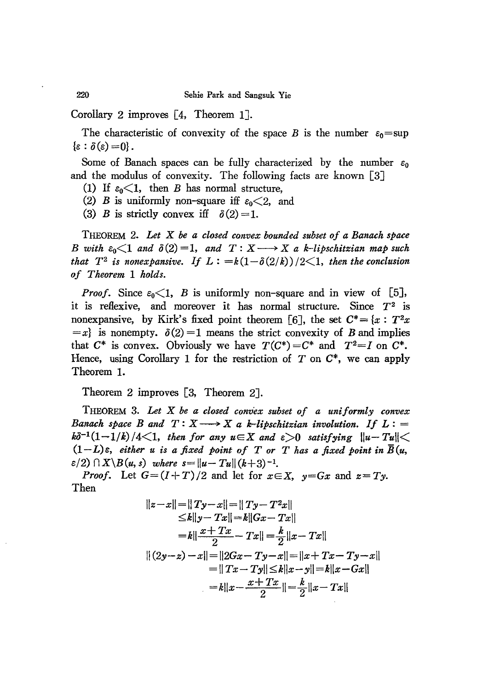Corollary 2 improves [4, Theorem 1J.

The characteristic of convexity of the space *B* is the number  $\varepsilon_0$  = sup  $\{\varepsilon : \delta(\varepsilon) = 0\}.$ 

Some of Banach spaces can be fully characterized by the number  $\varepsilon_0$ and the modulus of convexity. The following facts are known [3J

(1) If  $\varepsilon_0 < 1$ , then *B* has normal structure,

(2) *B* is uniformly non-square iff  $\varepsilon_0 < 2$ , and

(3) *B* is strictly convex if  $\delta(2) = 1$ .

THEOREM 2. *Let X be a closed convex bounded subset of a Banach space B* with  $\varepsilon_0 \leq 1$  and  $\delta(2) = 1$ , and  $T: X \longrightarrow X$  a k-lipschitzian map such *that*  $T^2$  *is nonexpansive.* If  $L := k(1-\delta(2/k))/2 \leq 1$ , then the conclusion *of Theorem* 1 *holds.*

*Proof.* Since  $\varepsilon_0 \leq 1$ , *B* is uniformly non-square and in view of [5], it is reflexive, and moreover it has normal structure. Since *T2* is nonexpansive, by Kirk's fixed point theorem [6], the set  $C^* = \{x : T^2x$  $=x$ <sup>2</sup> is nonempty.  $\delta(2)=1$  means the strict convexity of *B* and implies that  $C^*$  is convex. Obviously we have  $T(C^*) = C^*$  and  $T^2 = I$  on  $C^*$ . Hence, using Corollary 1 for the restriction of T on *C\*,* we can apply Theorem 1.

Theorem 2 improves [3, Theorem 2].

THEOREM 3. *Let X be a closed convex subset of a uniform!.y conve.'C Banach space B* and  $T: X \longrightarrow X$  *a k*-lipschitzian involution. If  $L:$  $k\delta^{-1}(1-1/k)/4 \leq 1$ , then for any  $u \in X$  and  $\varepsilon > 0$  satisfying  $||u-Tu|| \leq$  $(1-L)\varepsilon$ , *either u is a fixed point of T or T has a fixed point in*  $\overline{B}(u,$  $\varepsilon/2$ )  $\bigcap X \setminus B(u, s)$  *where*  $s = ||u - Tu|| (k+3)^{-1}$ .

*Proof.* Let  $G=(I+T)/2$  and let for  $x \in X$ ,  $y=Gx$  and  $z=Ty$ . Then

$$
||z-x|| = ||Ty-x|| = ||Ty-T^2x||
$$
  
\n
$$
\le k||y-Tx|| = k||Gx-Tx||
$$
  
\n
$$
= k||\frac{x+Tx}{2} - Tx|| = \frac{k}{2}||x-Tx||
$$
  
\n
$$
||(2y-z)-x|| = ||2Gx-Ty-x|| = ||x+Tx-Ty-x||
$$
  
\n
$$
= ||Tx-Ty|| \le k||x-y|| = k||x-Gx||
$$
  
\n
$$
= k||x - \frac{x+Tx}{2}|| = \frac{k}{2}||x-Tx||
$$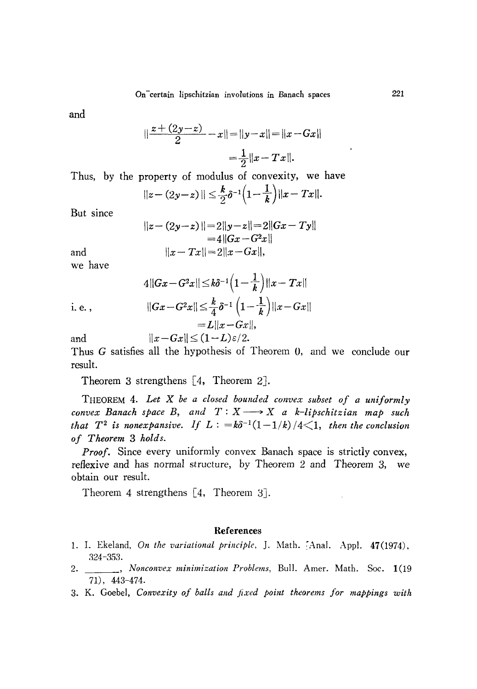and

$$
\|\frac{z+(2y-z)}{2}-x\| = \|y-x\| = \|x-Gx\|
$$

$$
=\frac{1}{2}\|x-Tx\|.
$$

Thus, by the property of modulus of convexity, we have

$$
||z-(2y-z)|| \leq \frac{k}{2}\delta^{-1}\left(1-\frac{1}{k}\right)||x-Tx||.
$$

But since

$$
||z - (2y - z)|| = 2||y - z|| = 2||Gx - Ty||
$$
  
= 4||Gx - G<sup>2</sup>x||  

$$
||x - Tx|| = 2||x - Gx||,
$$

we have

and

$$
4||Gx - G^{2}x|| \leq k\delta^{-1}\left(1 - \frac{1}{k}\right)||x - Tx||
$$
  
i. e. , 
$$
||Gx - G^{2}x|| \leq \frac{k}{4}\delta^{-1}\left(1 - \frac{1}{k}\right)||x - Gx||
$$

 $= L||x - Gx||$ and  $||x - Gx|| \leq (1-L)\varepsilon/2.$ 

Thus G satisfies all the hypothesis of Theorem 0, and we conclude our result.

Theorem 3 strengthens [4, Theorem 2].

THEOREM 4. *Let* X *be a closed bounded conve.7; subset of a uniformly convex* Banach *space* B, and  $T: X \longrightarrow X$  a *k*-lipschitzian map such *that*  $T^2$  *is nonexpansive.* If  $L: =k\delta^{-1}(1-1/k)/4 \leq 1$ , *then the conclusion of Theorem* 3 *holds.*

*Proof.* Since every uniformly convex Banach space is strictly convex, reflexive and has normal structure, by Theorem 2 and Theorem 3, we obtain our result.

Theorem 4 strengthens [4, Theorem 3].

#### References

- 1. I. Ekeland, *On the variational principle*, J. Math. [Anal. Appl. 47(1974), 224-353.
- 2. , *Nonconvex minimization Problems,* Bull. Amer. Math. Soc. 1(19 71), 443-474.
- 3. K. Goebel, *Convexity of balls and fi;ud point theorems for mappings with*